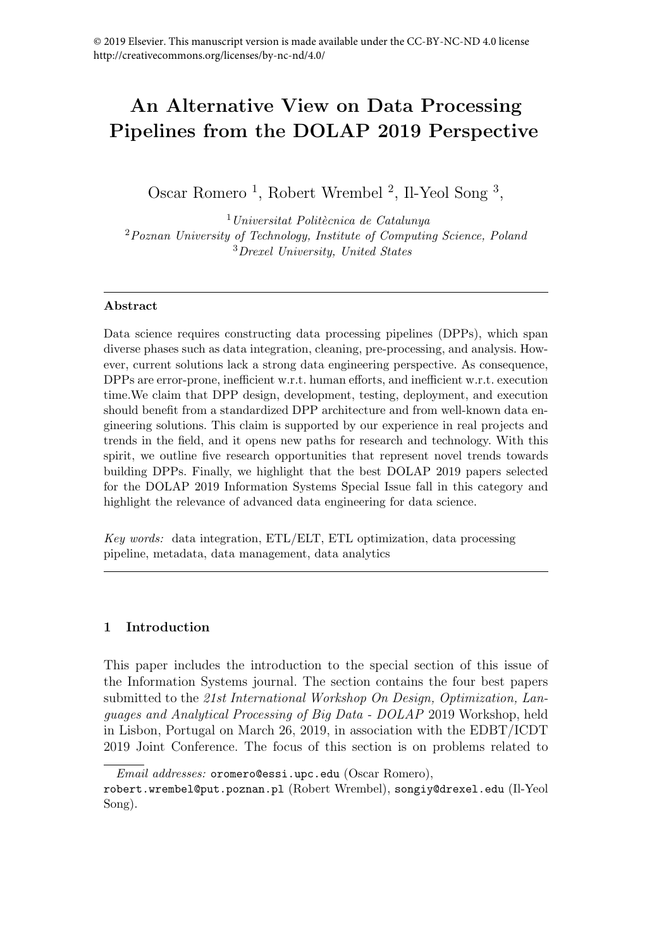# An Alternative View on Data Processing Pipelines from the DOLAP 2019 Perspective

Oscar Romero<sup>1</sup>, Robert Wrembel<sup>2</sup>, Il-Yeol Song<sup>3</sup>,

 $1$ Universitat Politècnica de Catalunya <sup>2</sup>Poznan University of Technology, Institute of Computing Science, Poland <sup>3</sup>Drexel University, United States

### Abstract

Data science requires constructing data processing pipelines (DPPs), which span diverse phases such as data integration, cleaning, pre-processing, and analysis. However, current solutions lack a strong data engineering perspective. As consequence, DPPs are error-prone, inefficient w.r.t. human efforts, and inefficient w.r.t. execution time.We claim that DPP design, development, testing, deployment, and execution should benefit from a standardized DPP architecture and from well-known data engineering solutions. This claim is supported by our experience in real projects and trends in the field, and it opens new paths for research and technology. With this spirit, we outline five research opportunities that represent novel trends towards building DPPs. Finally, we highlight that the best DOLAP 2019 papers selected for the DOLAP 2019 Information Systems Special Issue fall in this category and highlight the relevance of advanced data engineering for data science.

Key words: data integration, ETL/ELT, ETL optimization, data processing pipeline, metadata, data management, data analytics

## 1 Introduction

This paper includes the introduction to the special section of this issue of the Information Systems journal. The section contains the four best papers submitted to the 21st International Workshop On Design, Optimization, Languages and Analytical Processing of Big Data - DOLAP 2019 Workshop, held in Lisbon, Portugal on March 26, 2019, in association with the EDBT/ICDT 2019 Joint Conference. The focus of this section is on problems related to

Email addresses: oromero@essi.upc.edu (Oscar Romero),

robert.wrembel@put.poznan.pl (Robert Wrembel), songiy@drexel.edu (Il-Yeol Song).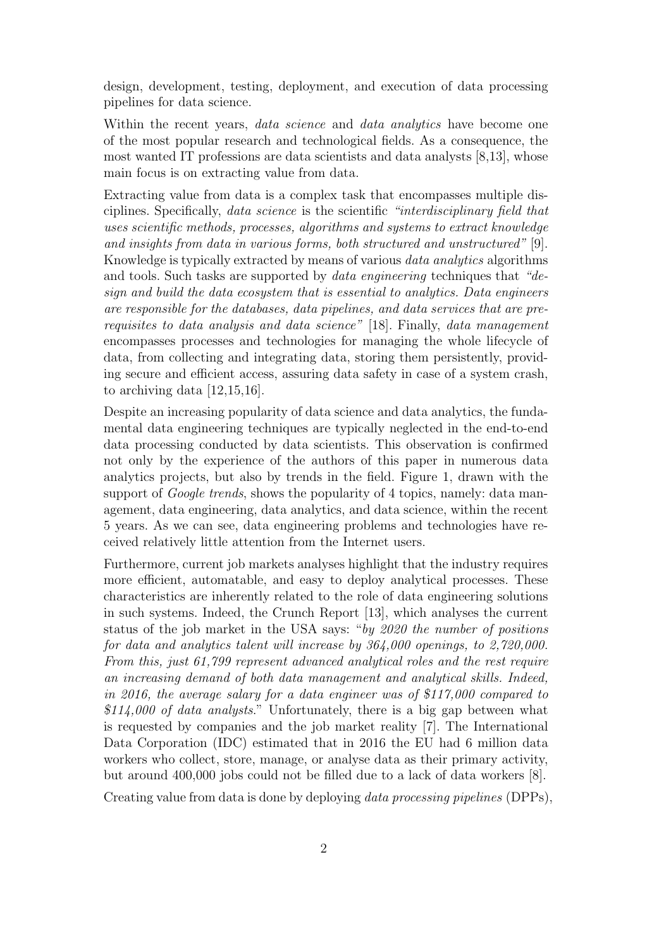design, development, testing, deployment, and execution of data processing pipelines for data science.

Within the recent years, *data science* and *data analytics* have become one of the most popular research and technological fields. As a consequence, the most wanted IT professions are data scientists and data analysts [8,13], whose main focus is on extracting value from data.

Extracting value from data is a complex task that encompasses multiple disciplines. Specifically, data science is the scientific "interdisciplinary field that uses scientific methods, processes, algorithms and systems to extract knowledge and insights from data in various forms, both structured and unstructured" [9]. Knowledge is typically extracted by means of various data analytics algorithms and tools. Such tasks are supported by data engineering techniques that "design and build the data ecosystem that is essential to analytics. Data engineers are responsible for the databases, data pipelines, and data services that are prerequisites to data analysis and data science" [18]. Finally, data management encompasses processes and technologies for managing the whole lifecycle of data, from collecting and integrating data, storing them persistently, providing secure and efficient access, assuring data safety in case of a system crash, to archiving data [12,15,16].

Despite an increasing popularity of data science and data analytics, the fundamental data engineering techniques are typically neglected in the end-to-end data processing conducted by data scientists. This observation is confirmed not only by the experience of the authors of this paper in numerous data analytics projects, but also by trends in the field. Figure 1, drawn with the support of *Google trends*, shows the popularity of 4 topics, namely: data management, data engineering, data analytics, and data science, within the recent 5 years. As we can see, data engineering problems and technologies have received relatively little attention from the Internet users.

Furthermore, current job markets analyses highlight that the industry requires more efficient, automatable, and easy to deploy analytical processes. These characteristics are inherently related to the role of data engineering solutions in such systems. Indeed, the Crunch Report [13], which analyses the current status of the job market in the USA says: "by 2020 the number of positions for data and analytics talent will increase by 364,000 openings, to 2,720,000. From this, just 61,799 represent advanced analytical roles and the rest require an increasing demand of both data management and analytical skills. Indeed, in 2016, the average salary for a data engineer was of \$117,000 compared to  $$114,000$  of data analysts." Unfortunately, there is a big gap between what is requested by companies and the job market reality [7]. The International Data Corporation (IDC) estimated that in 2016 the EU had 6 million data workers who collect, store, manage, or analyse data as their primary activity, but around 400,000 jobs could not be filled due to a lack of data workers [8].

Creating value from data is done by deploying data processing pipelines (DPPs),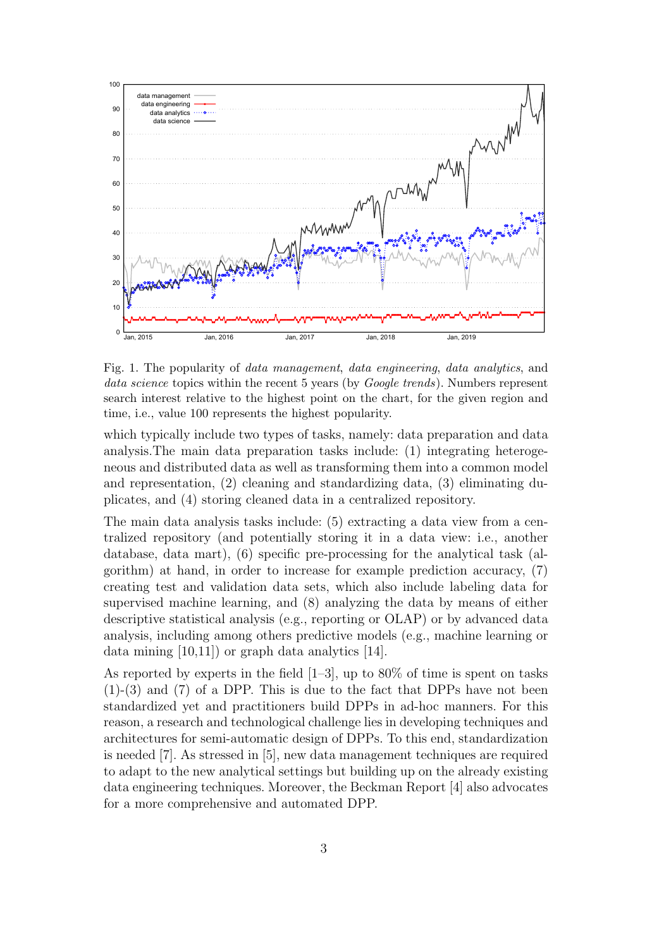

Fig. 1. The popularity of data management, data engineering, data analytics, and data science topics within the recent 5 years (by *Google trends*). Numbers represent search interest relative to the highest point on the chart, for the given region and time, i.e., value 100 represents the highest popularity.

which typically include two types of tasks, namely: data preparation and data analysis.The main data preparation tasks include: (1) integrating heterogeneous and distributed data as well as transforming them into a common model and representation, (2) cleaning and standardizing data, (3) eliminating duplicates, and (4) storing cleaned data in a centralized repository.

The main data analysis tasks include: (5) extracting a data view from a centralized repository (and potentially storing it in a data view: i.e., another database, data mart), (6) specific pre-processing for the analytical task (algorithm) at hand, in order to increase for example prediction accuracy, (7) creating test and validation data sets, which also include labeling data for supervised machine learning, and (8) analyzing the data by means of either descriptive statistical analysis (e.g., reporting or OLAP) or by advanced data analysis, including among others predictive models (e.g., machine learning or data mining  $(10,11)$  or graph data analytics  $[14]$ .

As reported by experts in the field  $[1-3]$ , up to 80% of time is spent on tasks (1)-(3) and (7) of a DPP. This is due to the fact that DPPs have not been standardized yet and practitioners build DPPs in ad-hoc manners. For this reason, a research and technological challenge lies in developing techniques and architectures for semi-automatic design of DPPs. To this end, standardization is needed [7]. As stressed in [5], new data management techniques are required to adapt to the new analytical settings but building up on the already existing data engineering techniques. Moreover, the Beckman Report [4] also advocates for a more comprehensive and automated DPP.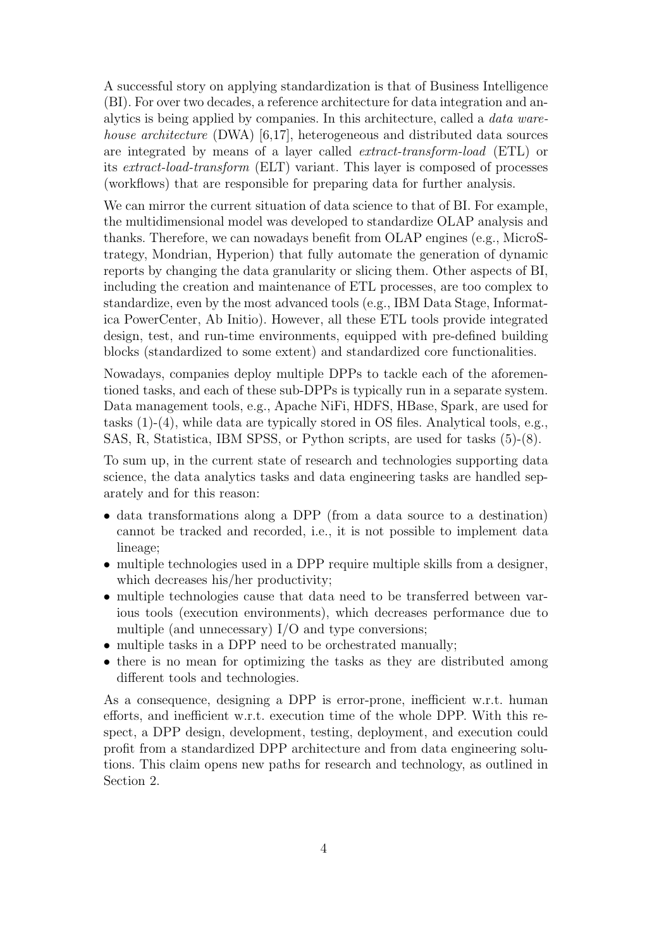A successful story on applying standardization is that of Business Intelligence (BI). For over two decades, a reference architecture for data integration and analytics is being applied by companies. In this architecture, called a data warehouse architecture (DWA) [6,17], heterogeneous and distributed data sources are integrated by means of a layer called extract-transform-load (ETL) or its extract-load-transform (ELT) variant. This layer is composed of processes (workflows) that are responsible for preparing data for further analysis.

We can mirror the current situation of data science to that of BI. For example, the multidimensional model was developed to standardize OLAP analysis and thanks. Therefore, we can nowadays benefit from OLAP engines (e.g., MicroStrategy, Mondrian, Hyperion) that fully automate the generation of dynamic reports by changing the data granularity or slicing them. Other aspects of BI, including the creation and maintenance of ETL processes, are too complex to standardize, even by the most advanced tools (e.g., IBM Data Stage, Informatica PowerCenter, Ab Initio). However, all these ETL tools provide integrated design, test, and run-time environments, equipped with pre-defined building blocks (standardized to some extent) and standardized core functionalities.

Nowadays, companies deploy multiple DPPs to tackle each of the aforementioned tasks, and each of these sub-DPPs is typically run in a separate system. Data management tools, e.g., Apache NiFi, HDFS, HBase, Spark, are used for tasks (1)-(4), while data are typically stored in OS files. Analytical tools, e.g., SAS, R, Statistica, IBM SPSS, or Python scripts, are used for tasks (5)-(8).

To sum up, in the current state of research and technologies supporting data science, the data analytics tasks and data engineering tasks are handled separately and for this reason:

- data transformations along a DPP (from a data source to a destination) cannot be tracked and recorded, i.e., it is not possible to implement data lineage;
- multiple technologies used in a DPP require multiple skills from a designer, which decreases his/her productivity;
- multiple technologies cause that data need to be transferred between various tools (execution environments), which decreases performance due to multiple (and unnecessary) I/O and type conversions;
- multiple tasks in a DPP need to be orchestrated manually;
- there is no mean for optimizing the tasks as they are distributed among different tools and technologies.

As a consequence, designing a DPP is error-prone, inefficient w.r.t. human efforts, and inefficient w.r.t. execution time of the whole DPP. With this respect, a DPP design, development, testing, deployment, and execution could profit from a standardized DPP architecture and from data engineering solutions. This claim opens new paths for research and technology, as outlined in Section 2.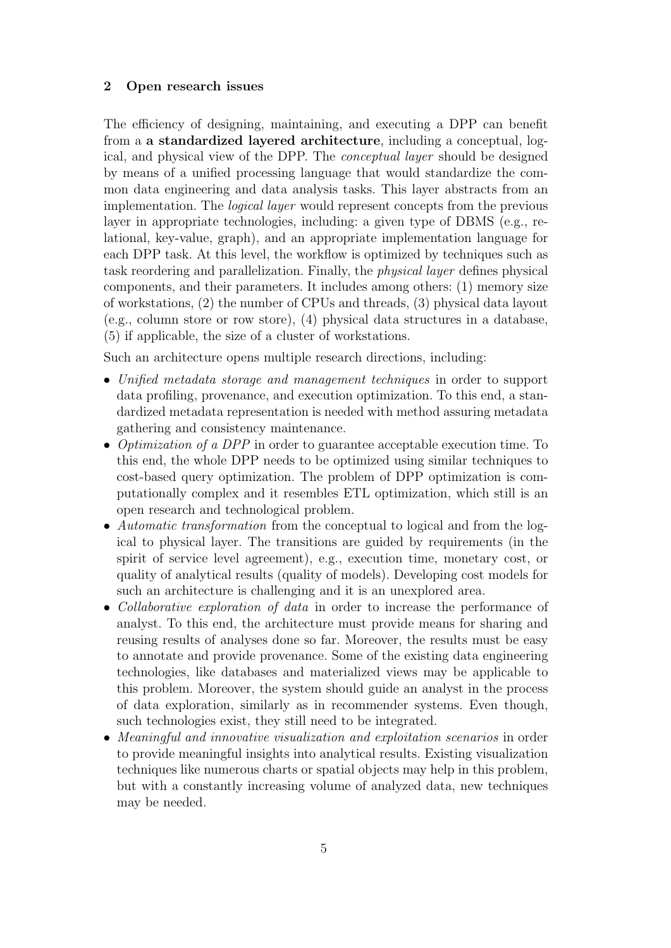#### 2 Open research issues

The efficiency of designing, maintaining, and executing a DPP can benefit from a a standardized layered architecture, including a conceptual, logical, and physical view of the DPP. The conceptual layer should be designed by means of a unified processing language that would standardize the common data engineering and data analysis tasks. This layer abstracts from an implementation. The logical layer would represent concepts from the previous layer in appropriate technologies, including: a given type of DBMS (e.g., relational, key-value, graph), and an appropriate implementation language for each DPP task. At this level, the workflow is optimized by techniques such as task reordering and parallelization. Finally, the physical layer defines physical components, and their parameters. It includes among others: (1) memory size of workstations, (2) the number of CPUs and threads, (3) physical data layout (e.g., column store or row store), (4) physical data structures in a database, (5) if applicable, the size of a cluster of workstations.

Such an architecture opens multiple research directions, including:

- Unified metadata storage and management techniques in order to support data profiling, provenance, and execution optimization. To this end, a standardized metadata representation is needed with method assuring metadata gathering and consistency maintenance.
- Optimization of a DPP in order to guarantee acceptable execution time. To this end, the whole DPP needs to be optimized using similar techniques to cost-based query optimization. The problem of DPP optimization is computationally complex and it resembles ETL optimization, which still is an open research and technological problem.
- Automatic transformation from the conceptual to logical and from the logical to physical layer. The transitions are guided by requirements (in the spirit of service level agreement), e.g., execution time, monetary cost, or quality of analytical results (quality of models). Developing cost models for such an architecture is challenging and it is an unexplored area.
- Collaborative exploration of data in order to increase the performance of analyst. To this end, the architecture must provide means for sharing and reusing results of analyses done so far. Moreover, the results must be easy to annotate and provide provenance. Some of the existing data engineering technologies, like databases and materialized views may be applicable to this problem. Moreover, the system should guide an analyst in the process of data exploration, similarly as in recommender systems. Even though, such technologies exist, they still need to be integrated.
- Meaningful and innovative visualization and exploitation scenarios in order to provide meaningful insights into analytical results. Existing visualization techniques like numerous charts or spatial objects may help in this problem, but with a constantly increasing volume of analyzed data, new techniques may be needed.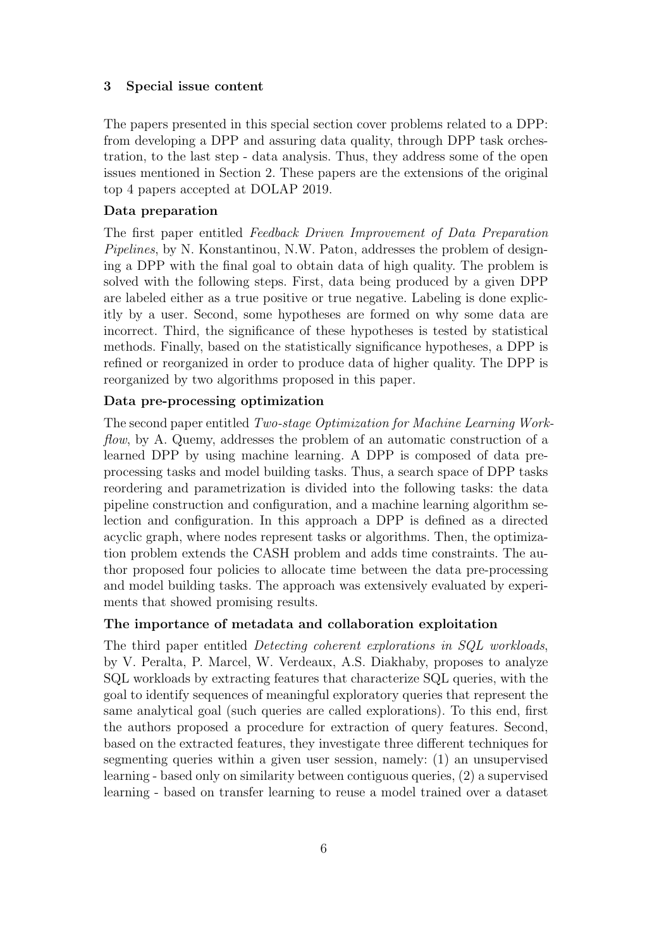#### 3 Special issue content

The papers presented in this special section cover problems related to a DPP: from developing a DPP and assuring data quality, through DPP task orchestration, to the last step - data analysis. Thus, they address some of the open issues mentioned in Section 2. These papers are the extensions of the original top 4 papers accepted at DOLAP 2019.

#### Data preparation

The first paper entitled Feedback Driven Improvement of Data Preparation Pipelines, by N. Konstantinou, N.W. Paton, addresses the problem of designing a DPP with the final goal to obtain data of high quality. The problem is solved with the following steps. First, data being produced by a given DPP are labeled either as a true positive or true negative. Labeling is done explicitly by a user. Second, some hypotheses are formed on why some data are incorrect. Third, the significance of these hypotheses is tested by statistical methods. Finally, based on the statistically significance hypotheses, a DPP is refined or reorganized in order to produce data of higher quality. The DPP is reorganized by two algorithms proposed in this paper.

## Data pre-processing optimization

The second paper entitled Two-stage Optimization for Machine Learning Workflow, by A. Quemy, addresses the problem of an automatic construction of a learned DPP by using machine learning. A DPP is composed of data preprocessing tasks and model building tasks. Thus, a search space of DPP tasks reordering and parametrization is divided into the following tasks: the data pipeline construction and configuration, and a machine learning algorithm selection and configuration. In this approach a DPP is defined as a directed acyclic graph, where nodes represent tasks or algorithms. Then, the optimization problem extends the CASH problem and adds time constraints. The author proposed four policies to allocate time between the data pre-processing and model building tasks. The approach was extensively evaluated by experiments that showed promising results.

## The importance of metadata and collaboration exploitation

The third paper entitled Detecting coherent explorations in SQL workloads, by V. Peralta, P. Marcel, W. Verdeaux, A.S. Diakhaby, proposes to analyze SQL workloads by extracting features that characterize SQL queries, with the goal to identify sequences of meaningful exploratory queries that represent the same analytical goal (such queries are called explorations). To this end, first the authors proposed a procedure for extraction of query features. Second, based on the extracted features, they investigate three different techniques for segmenting queries within a given user session, namely: (1) an unsupervised learning - based only on similarity between contiguous queries, (2) a supervised learning - based on transfer learning to reuse a model trained over a dataset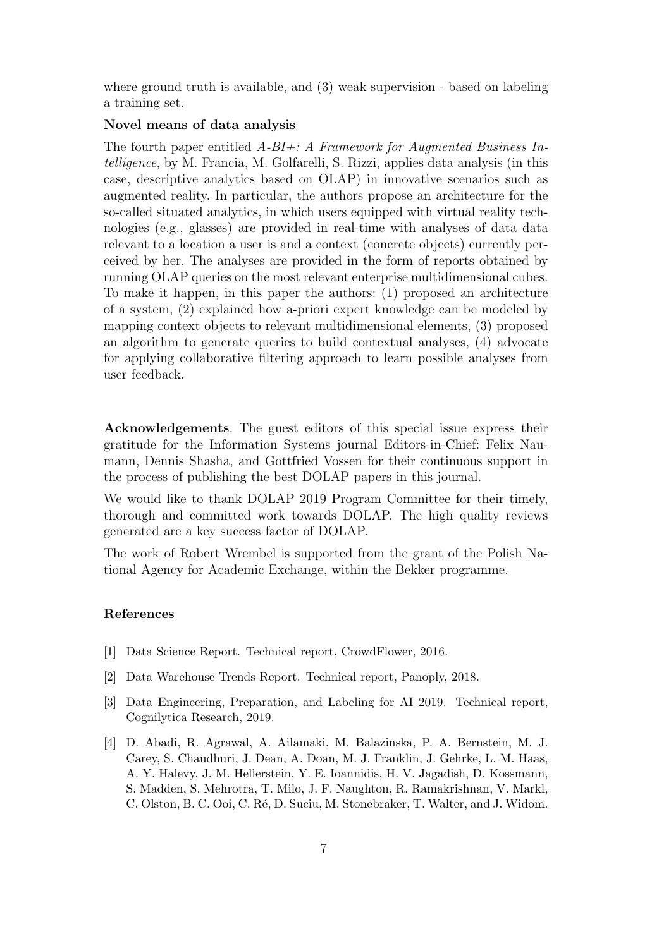where ground truth is available, and (3) weak supervision - based on labeling a training set.

#### Novel means of data analysis

The fourth paper entitled  $A-BI+: A$  Framework for Augmented Business Intelligence, by M. Francia, M. Golfarelli, S. Rizzi, applies data analysis (in this case, descriptive analytics based on OLAP) in innovative scenarios such as augmented reality. In particular, the authors propose an architecture for the so-called situated analytics, in which users equipped with virtual reality technologies (e.g., glasses) are provided in real-time with analyses of data data relevant to a location a user is and a context (concrete objects) currently perceived by her. The analyses are provided in the form of reports obtained by running OLAP queries on the most relevant enterprise multidimensional cubes. To make it happen, in this paper the authors: (1) proposed an architecture of a system, (2) explained how a-priori expert knowledge can be modeled by mapping context objects to relevant multidimensional elements, (3) proposed an algorithm to generate queries to build contextual analyses, (4) advocate for applying collaborative filtering approach to learn possible analyses from user feedback.

Acknowledgements. The guest editors of this special issue express their gratitude for the Information Systems journal Editors-in-Chief: Felix Naumann, Dennis Shasha, and Gottfried Vossen for their continuous support in the process of publishing the best DOLAP papers in this journal.

We would like to thank DOLAP 2019 Program Committee for their timely, thorough and committed work towards DOLAP. The high quality reviews generated are a key success factor of DOLAP.

The work of Robert Wrembel is supported from the grant of the Polish National Agency for Academic Exchange, within the Bekker programme.

## References

- [1] Data Science Report. Technical report, CrowdFlower, 2016.
- [2] Data Warehouse Trends Report. Technical report, Panoply, 2018.
- [3] Data Engineering, Preparation, and Labeling for AI 2019. Technical report, Cognilytica Research, 2019.
- [4] D. Abadi, R. Agrawal, A. Ailamaki, M. Balazinska, P. A. Bernstein, M. J. Carey, S. Chaudhuri, J. Dean, A. Doan, M. J. Franklin, J. Gehrke, L. M. Haas, A. Y. Halevy, J. M. Hellerstein, Y. E. Ioannidis, H. V. Jagadish, D. Kossmann, S. Madden, S. Mehrotra, T. Milo, J. F. Naughton, R. Ramakrishnan, V. Markl, C. Olston, B. C. Ooi, C. Ré, D. Suciu, M. Stonebraker, T. Walter, and J. Widom.